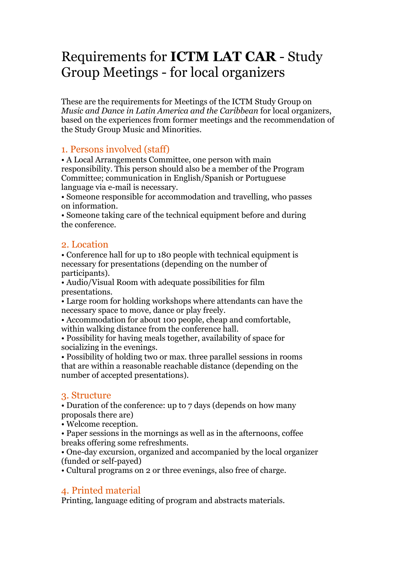# Requirements for **ICTM LAT CAR** - Study Group Meetings - for local organizers

These are the requirements for Meetings of the ICTM Study Group on *Music and Dance in Latin America and the Caribbean* for local organizers, based on the experiences from former meetings and the recommendation of the Study Group Music and Minorities.

# 1. Persons involved (staff)

• A Local Arrangements Committee, one person with main responsibility. This person should also be a member of the Program Committee; communication in English/Spanish or Portuguese language via e-mail is necessary.

• Someone responsible for accommodation and travelling, who passes on information.

• Someone taking care of the technical equipment before and during the conference.

# 2. Location

• Conference hall for up to 180 people with technical equipment is necessary for presentations (depending on the number of participants).

• Audio/Visual Room with adequate possibilities for film presentations.

• Large room for holding workshops where attendants can have the necessary space to move, dance or play freely.

• Accommodation for about 100 people, cheap and comfortable, within walking distance from the conference hall.

• Possibility for having meals together, availability of space for socializing in the evenings.

• Possibility of holding two or max. three parallel sessions in rooms that are within a reasonable reachable distance (depending on the number of accepted presentations).

#### 3. Structure

• Duration of the conference: up to 7 days (depends on how many proposals there are)

• Welcome reception.

• Paper sessions in the mornings as well as in the afternoons, coffee breaks offering some refreshments.

• One-day excursion, organized and accompanied by the local organizer (funded or self-payed)

• Cultural programs on 2 or three evenings, also free of charge.

# 4. Printed material

Printing, language editing of program and abstracts materials.